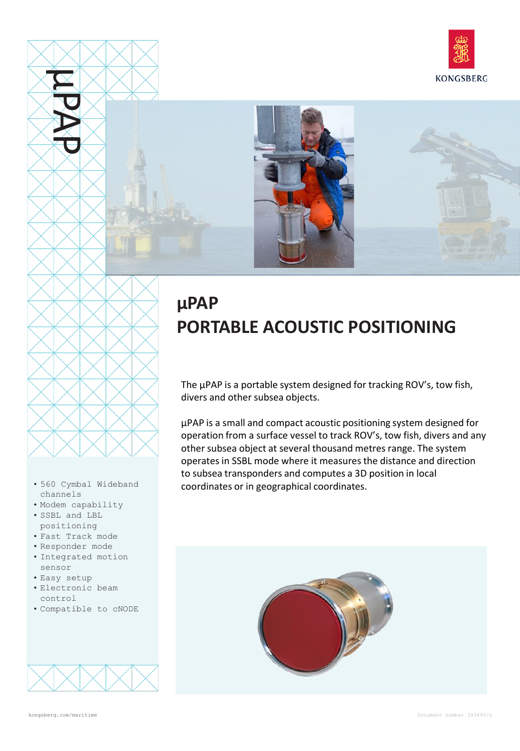



## **µPAP PORTABLE ACOUSTIC POSITIONING**

The µPAP is a portable system designed for tracking ROV's, tow fish, divers and other subsea objects.

µPAP is a small and compact acoustic positioning system designed for operation from a surface vessel to track ROV's, tow fish, divers and any other subsea object at several thousand metres range. The system operates in SSBL mode where it measures the distance and direction to subsea transponders and computes a 3D position in local coordinates or in geographical coordinates.





µPAP

- 560 Cymbal Wideband channels
- Modem capability
- SSBL and LBL positioning
- Fast Track mode
- Responder mode
- Integrated motion sensor
- Easy setup
- Electronic beam control
- Compatible to cNODE

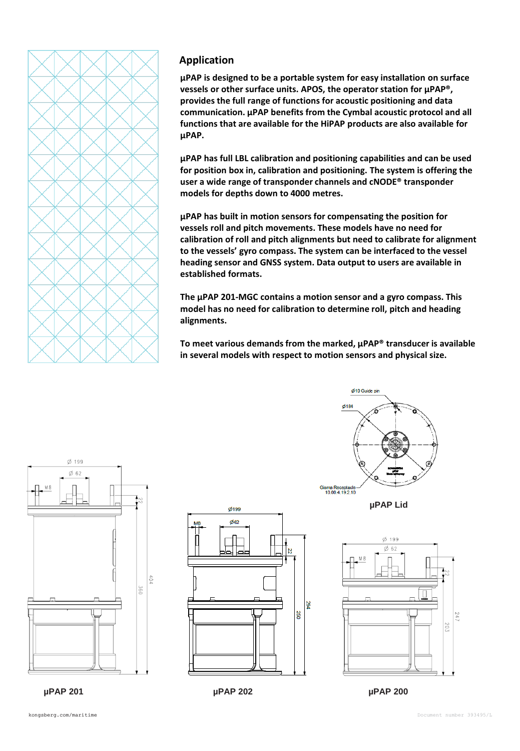

## **Application**

**µPAP is designed to be a portable system for easy installation on surface vessels or other surface units. APOS, the operator station for µPAP®, provides the full range of functions for acoustic positioning and data communication. µPAP benefits from the Cymbal acoustic protocol and all functions that are available for the HiPAP products are also available for µPAP.**

**µPAP has full LBL calibration and positioning capabilities and can be used for position box in, calibration and positioning. The system is offering the user a wide range of transponder channels and cNODE® transponder models for depths down to 4000 metres.**

**µPAP has built in motion sensors for compensating the position for vessels roll and pitch movements. These models have no need for calibration of roll and pitch alignments but need to calibrate for alignment to the vessels' gyro compass. The system can be interfaced to the vessel heading sensor and GNSS system. Data output to users are available in established formats.**

**The µPAP 201-MGC contains a motion sensor and a gyro compass. This model has no need for calibration to determine roll, pitch and heading alignments.**

**To meet various demands from the marked, µPAP® transducer is available in several models with respect to motion sensors and physical size.**









**µPAP Lid**